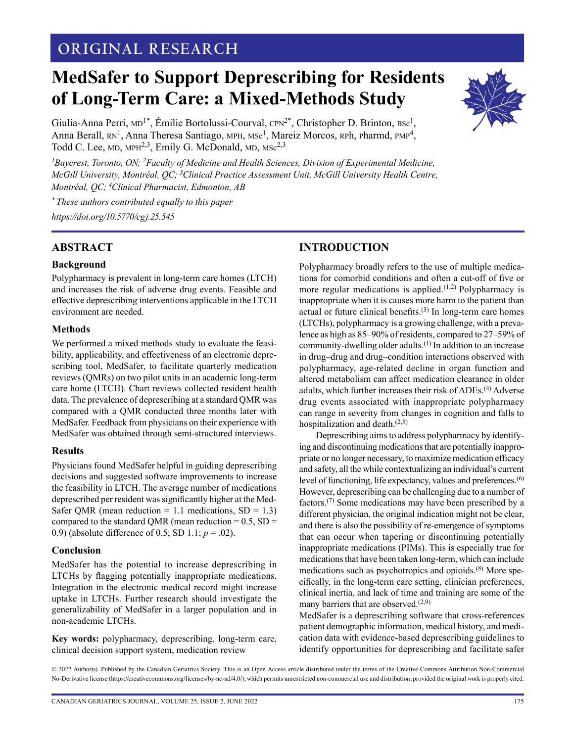# **ORIGINAL RESEARCH**

# **MedSafer to Support Deprescribing for Residents of Long-Term Care: a Mixed-Methods Study**



Giulia-Anna Perri,  $MD^{1*}$ , Émilie Bortolussi-Courval,  $CPN^{2*}$ , Christopher D. Brinton,  $BSC^1$ , Anna Berall, RN<sup>1</sup>, Anna Theresa Santiago, MPH, MSc<sup>1</sup>, Mareiz Morcos, RPh, Pharmd, PMP<sup>4</sup>, Todd C. Lee,  $MD$ ,  $MPH<sup>2,3</sup>$ , Emily G. McDonald,  $MD$ ,  $MSc<sup>2,3</sup>$ 

<sup>1</sup>Baycrest, Toronto, ON; <sup>2</sup>Faculty of Medicine and Health Sciences, Division of Experimental Medicine, *McGill University, Montréal, QC; 3Clinical Practice Assessment Unit, McGill University Health Centre, Montréal, QC; 4Clinical Pharmacist, Edmonton, AB*

*\* These authors contributed equally to this paper <https://doi.org/10.5770/cgj.25.545>*

# **ABSTRACT**

## **Background**

Polypharmacy is prevalent in long-term care homes (LTCH) and increases the risk of adverse drug events. Feasible and effective deprescribing interventions applicable in the LTCH environment are needed.

## **Methods**

We performed a mixed methods study to evaluate the feasibility, applicability, and effectiveness of an electronic deprescribing tool, MedSafer, to facilitate quarterly medication reviews (QMRs) on two pilot units in an academic long-term care home (LTCH). Chart reviews collected resident health data. The prevalence of deprescribing at a standard QMR was compared with a QMR conducted three months later with MedSafer. Feedback from physicians on their experience with MedSafer was obtained through semi-structured interviews.

#### **Results**

Physicians found MedSafer helpful in guiding deprescribing decisions and suggested software improvements to increase the feasibility in LTCH. The average number of medications deprescribed per resident was significantly higher at the Med-Safer QMR (mean reduction =  $1.1$  medications, SD =  $1.3$ ) compared to the standard QMR (mean reduction  $= 0.5$ , SD  $=$ 0.9) (absolute difference of 0.5; SD 1.1;  $p = .02$ ).

#### **Conclusion**

MedSafer has the potential to increase deprescribing in LTCHs by flagging potentially inappropriate medications. Integration in the electronic medical record might increase uptake in LTCHs. Further research should investigate the generalizability of MedSafer in a larger population and in non-academic LTCHs.

**Key words:** polypharmacy, deprescribing, long-term care, clinical decision support system, medication review

# **INTRODUCTION**

Polypharmacy broadly refers to the use of multiple medications for comorbid conditions and often a cut-off of five or more regular medications is applied. $(1,2)$  Polypharmacy is inappropriate when it is causes more harm to the patient than actual or future clinical benefits. $(3)$  In long-term care homes (LTCHs), polypharmacy is a growing challenge, with a prevalence as high as 85–90% of residents, compared to 27–59% of community-dwelling older adults.(1) In addition to an increase in drug–drug and drug–condition interactions observed with polypharmacy, age-related decline in organ function and altered metabolism can affect medication clearance in older adults, which further increases their risk of ADEs.(4) Adverse drug events associated with inappropriate polypharmacy can range in severity from changes in cognition and falls to hospitalization and death.(2,5)

Deprescribing aims to address polypharmacy by identifying and discontinuing medications that are potentially inappropriate or no longer necessary, to maximize medication efficacy and safety, all the while contextualizing an individual's current level of functioning, life expectancy, values and preferences.(6) However, deprescribing can be challenging due to a number of factors.(7) Some medications may have been prescribed by a different physician, the original indication might not be clear, and there is also the possibility of re-emergence of symptoms that can occur when tapering or discontinuing potentially inappropriate medications (PIMs). This is especially true for medications that have been taken long-term, which can include medications such as psychotropics and opioids.(8) More specifically, in the long-term care setting, clinician preferences, clinical inertia, and lack of time and training are some of the many barriers that are observed.<sup>(2,9)</sup>

MedSafer is a deprescribing software that cross-references patient demographic information, medical history, and medication data with evidence-based deprescribing guidelines to identify opportunities for deprescribing and facilitate safer

© 2022 Author(s). Published by the Canadian Geriatrics Society. This is an Open Access article distributed under the terms of the Creative Commons Attribution Non-Commercial No-Derivative license (https://creativecommons.org/licenses/by-nc-nd/4.0/), which permits unrestricted non-commercial use and distribution, provided the original work is properly cited.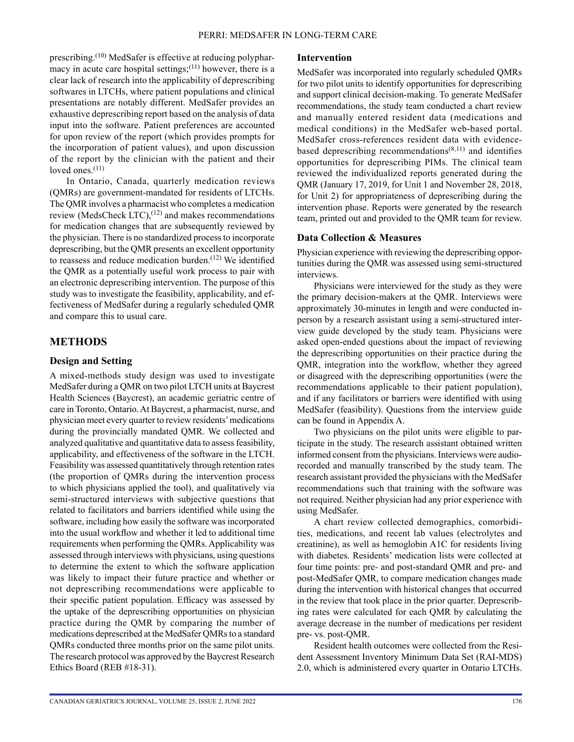prescribing.<sup>(10)</sup> MedSafer is effective at reducing polypharmacy in acute care hospital settings;  $(11)$  however, there is a clear lack of research into the applicability of deprescribing softwares in LTCHs, where patient populations and clinical presentations are notably different. MedSafer provides an exhaustive deprescribing report based on the analysis of data input into the software. Patient preferences are accounted for upon review of the report (which provides prompts for the incorporation of patient values), and upon discussion of the report by the clinician with the patient and their loved ones.<sup>(11)</sup>

In Ontario, Canada, quarterly medication reviews (QMRs) are government-mandated for residents of LTCHs. The QMR involves a pharmacist who completes a medication review (MedsCheck LTC), $^{(12)}$  and makes recommendations for medication changes that are subsequently reviewed by the physician. There is no standardized process to incorporate deprescribing, but the QMR presents an excellent opportunity to reassess and reduce medication burden.<sup> $(12)$ </sup> We identified the QMR as a potentially useful work process to pair with an electronic deprescribing intervention. The purpose of this study was to investigate the feasibility, applicability, and effectiveness of MedSafer during a regularly scheduled QMR and compare this to usual care.

## **METHODS**

#### **Design and Setting**

A mixed-methods study design was used to investigate MedSafer during a QMR on two pilot LTCH units at Baycrest Health Sciences (Baycrest), an academic geriatric centre of care in Toronto, Ontario. At Baycrest, a pharmacist, nurse, and physician meet every quarter to review residents' medications during the provincially mandated QMR. We collected and analyzed qualitative and quantitative data to assess feasibility, applicability, and effectiveness of the software in the LTCH. Feasibility was assessed quantitatively through retention rates (the proportion of QMRs during the intervention process to which physicians applied the tool), and qualitatively via semi-structured interviews with subjective questions that related to facilitators and barriers identified while using the software, including how easily the software was incorporated into the usual workflow and whether it led to additional time requirements when performing the QMRs. Applicability was assessed through interviews with physicians, using questions to determine the extent to which the software application was likely to impact their future practice and whether or not deprescribing recommendations were applicable to their specific patient population. Efficacy was assessed by the uptake of the deprescribing opportunities on physician practice during the QMR by comparing the number of medications deprescribed at the MedSafer QMRs to a standard QMRs conducted three months prior on the same pilot units. The research protocol was approved by the Baycrest Research Ethics Board (REB #18-31).

#### **Intervention**

MedSafer was incorporated into regularly scheduled QMRs for two pilot units to identify opportunities for deprescribing and support clinical decision-making. To generate MedSafer recommendations, the study team conducted a chart review and manually entered resident data (medications and medical conditions) in the MedSafer web-based portal. MedSafer cross-references resident data with evidencebased deprescribing recommendations<sup> $(8,11)$ </sup> and identifies opportunities for deprescribing PIMs. The clinical team reviewed the individualized reports generated during the QMR (January 17, 2019, for Unit 1 and November 28, 2018, for Unit 2) for appropriateness of deprescribing during the intervention phase. Reports were generated by the research team, printed out and provided to the QMR team for review.

#### **Data Collection & Measures**

Physician experience with reviewing the deprescribing opportunities during the QMR was assessed using semi-structured interviews.

Physicians were interviewed for the study as they were the primary decision-makers at the QMR. Interviews were approximately 30-minutes in length and were conducted inperson by a research assistant using a semi-structured interview guide developed by the study team. Physicians were asked open-ended questions about the impact of reviewing the deprescribing opportunities on their practice during the QMR, integration into the workflow, whether they agreed or disagreed with the deprescribing opportunities (were the recommendations applicable to their patient population), and if any facilitators or barriers were identified with using MedSafer (feasibility). Questions from the interview guide can be found in Appendix A.

Two physicians on the pilot units were eligible to participate in the study. The research assistant obtained written informed consent from the physicians. Interviews were audiorecorded and manually transcribed by the study team. The research assistant provided the physicians with the MedSafer recommendations such that training with the software was not required. Neither physician had any prior experience with using MedSafer.

A chart review collected demographics, comorbidities, medications, and recent lab values (electrolytes and creatinine), as well as hemoglobin A1C for residents living with diabetes. Residents' medication lists were collected at four time points: pre- and post-standard QMR and pre- and post-MedSafer QMR, to compare medication changes made during the intervention with historical changes that occurred in the review that took place in the prior quarter. Deprescribing rates were calculated for each QMR by calculating the average decrease in the number of medications per resident pre- vs. post-QMR.

Resident health outcomes were collected from the Resident Assessment Inventory Minimum Data Set (RAI-MDS) 2.0, which is administered every quarter in Ontario LTCHs.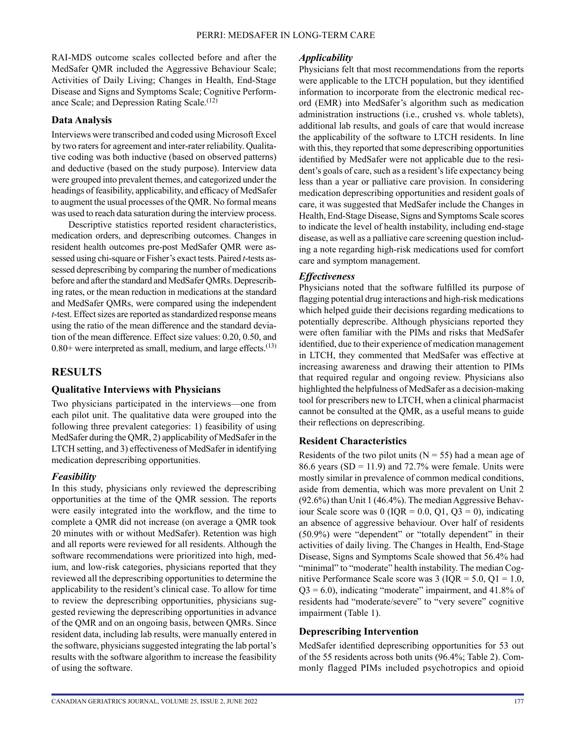RAI-MDS outcome scales collected before and after the MedSafer QMR included the Aggressive Behaviour Scale; Activities of Daily Living; Changes in Health, End-Stage Disease and Signs and Symptoms Scale; Cognitive Performance Scale; and Depression Rating Scale.<sup>(12)</sup>

## **Data Analysis**

Interviews were transcribed and coded using Microsoft Excel by two raters for agreement and inter-rater reliability. Qualitative coding was both inductive (based on observed patterns) and deductive (based on the study purpose). Interview data were grouped into prevalent themes, and categorized under the headings of feasibility, applicability, and efficacy of MedSafer to augment the usual processes of the QMR. No formal means was used to reach data saturation during the interview process.

Descriptive statistics reported resident characteristics, medication orders, and deprescribing outcomes. Changes in resident health outcomes pre-post MedSafer QMR were assessed using chi-square or Fisher's exact tests. Paired *t*-tests assessed deprescribing by comparing the number of medications before and after the standard and MedSafer QMRs. Deprescribing rates, or the mean reduction in medications at the standard and MedSafer QMRs, were compared using the independent *t*-test. Effect sizes are reported as standardized response means using the ratio of the mean difference and the standard deviation of the mean difference. Effect size values: 0.20, 0.50, and  $0.80+$  were interpreted as small, medium, and large effects.<sup>(13)</sup>

## **RESULTS**

#### **Qualitative Interviews with Physicians**

Two physicians participated in the interviews—one from each pilot unit. The qualitative data were grouped into the following three prevalent categories: 1) feasibility of using MedSafer during the QMR, 2) applicability of MedSafer in the LTCH setting, and 3) effectiveness of MedSafer in identifying medication deprescribing opportunities.

#### *Feasibility*

In this study, physicians only reviewed the deprescribing opportunities at the time of the QMR session. The reports were easily integrated into the workflow, and the time to complete a QMR did not increase (on average a QMR took 20 minutes with or without MedSafer). Retention was high and all reports were reviewed for all residents. Although the software recommendations were prioritized into high, medium, and low-risk categories, physicians reported that they reviewed all the deprescribing opportunities to determine the applicability to the resident's clinical case. To allow for time to review the deprescribing opportunities, physicians suggested reviewing the deprescribing opportunities in advance of the QMR and on an ongoing basis, between QMRs. Since resident data, including lab results, were manually entered in the software, physicians suggested integrating the lab portal's results with the software algorithm to increase the feasibility of using the software.

#### *Applicability*

Physicians felt that most recommendations from the reports were applicable to the LTCH population, but they identified information to incorporate from the electronic medical record (EMR) into MedSafer's algorithm such as medication administration instructions (i.e., crushed vs. whole tablets), additional lab results, and goals of care that would increase the applicability of the software to LTCH residents. In line with this, they reported that some deprescribing opportunities identified by MedSafer were not applicable due to the resident's goals of care, such as a resident's life expectancy being less than a year or palliative care provision. In considering medication deprescribing opportunities and resident goals of care, it was suggested that MedSafer include the Changes in Health, End-Stage Disease, Signs and Symptoms Scale scores to indicate the level of health instability, including end-stage disease, as well as a palliative care screening question including a note regarding high-risk medications used for comfort care and symptom management.

## *Effectiveness*

Physicians noted that the software fulfilled its purpose of flagging potential drug interactions and high-risk medications which helped guide their decisions regarding medications to potentially deprescribe. Although physicians reported they were often familiar with the PIMs and risks that MedSafer identified, due to their experience of medication management in LTCH, they commented that MedSafer was effective at increasing awareness and drawing their attention to PIMs that required regular and ongoing review. Physicians also highlighted the helpfulness of MedSafer as a decision-making tool for prescribers new to LTCH, when a clinical pharmacist cannot be consulted at the QMR, as a useful means to guide their reflections on deprescribing.

## **Resident Characteristics**

Residents of the two pilot units ( $N = 55$ ) had a mean age of 86.6 years ( $SD = 11.9$ ) and 72.7% were female. Units were mostly similar in prevalence of common medical conditions, aside from dementia, which was more prevalent on Unit 2 (92.6%) than Unit 1 (46.4%). The median Aggressive Behaviour Scale score was  $0$  (IQR = 0.0, Q1, Q3 = 0), indicating an absence of aggressive behaviour. Over half of residents (50.9%) were "dependent" or "totally dependent" in their activities of daily living. The Changes in Health, End-Stage Disease, Signs and Symptoms Scale showed that 56.4% had "minimal" to "moderate" health instability. The median Cognitive Performance Scale score was  $3 (IQR = 5.0, Q1 = 1.0,$  $Q3 = 6.0$ ), indicating "moderate" impairment, and 41.8% of residents had "moderate/severe" to "very severe" cognitive impairment (Table 1).

#### **Deprescribing Intervention**

MedSafer identified deprescribing opportunities for 53 out of the 55 residents across both units (96.4%; Table 2). Commonly flagged PIMs included psychotropics and opioid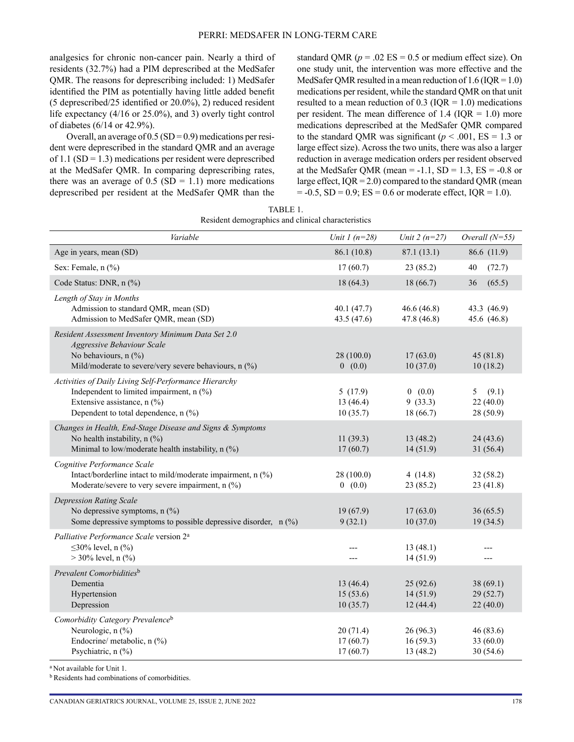analgesics for chronic non-cancer pain. Nearly a third of residents (32.7%) had a PIM deprescribed at the MedSafer QMR. The reasons for deprescribing included: 1) MedSafer identified the PIM as potentially having little added benefit (5 deprescribed/25 identified or 20.0%), 2) reduced resident life expectancy (4/16 or 25.0%), and 3) overly tight control of diabetes (6/14 or 42.9%).

Overall, an average of  $0.5$  (SD = 0.9) medications per resident were deprescribed in the standard QMR and an average of 1.1 ( $SD = 1.3$ ) medications per resident were deprescribed at the MedSafer QMR. In comparing deprescribing rates, there was an average of  $0.5$  (SD = 1.1) more medications deprescribed per resident at the MedSafer QMR than the standard QMR ( $p = .02$  ES = 0.5 or medium effect size). On one study unit, the intervention was more effective and the MedSafer QMR resulted in a mean reduction of  $1.6$  (IQR = 1.0) medications per resident, while the standard QMR on that unit resulted to a mean reduction of 0.3 ( $IQR = 1.0$ ) medications per resident. The mean difference of 1.4 ( $IQR = 1.0$ ) more medications deprescribed at the MedSafer QMR compared to the standard QMR was significant ( $p < .001$ , ES = 1.3 or large effect size). Across the two units, there was also a larger reduction in average medication orders per resident observed at the MedSafer QMR (mean =  $-1.1$ , SD = 1.3, ES =  $-0.8$  or large effect,  $IQR = 2.0$ ) compared to the standard QMR (mean  $= -0.5$ , SD  $= 0.9$ ; ES  $= 0.6$  or moderate effect, IQR  $= 1.0$ ).

| TABLE 1.                                           |  |
|----------------------------------------------------|--|
| Resident demographics and clinical characteristics |  |

| Variable                                                                                                                                                                 | Unit $1(n=28)$                   | Unit $2(n=27)$                    | Overall $(N=55)$                    |
|--------------------------------------------------------------------------------------------------------------------------------------------------------------------------|----------------------------------|-----------------------------------|-------------------------------------|
| Age in years, mean (SD)                                                                                                                                                  | 86.1 (10.8)                      | 87.1(13.1)                        | 86.6 (11.9)                         |
| Sex: Female, $n$ $\left(\frac{9}{0}\right)$                                                                                                                              | 17(60.7)                         | 23(85.2)                          | (72.7)<br>40                        |
| Code Status: DNR, n (%)                                                                                                                                                  | 18(64.3)                         | 18 (66.7)                         | 36<br>(65.5)                        |
| Length of Stay in Months<br>Admission to standard QMR, mean (SD)<br>Admission to MedSafer QMR, mean (SD)                                                                 | 40.1(47.7)<br>43.5 (47.6)        | 46.6(46.8)<br>47.8 (46.8)         | 43.3 (46.9)<br>45.6 (46.8)          |
| Resident Assessment Inventory Minimum Data Set 2.0<br><b>Aggressive Behaviour Scale</b><br>No behaviours, n (%)<br>Mild/moderate to severe/very severe behaviours, n (%) | 28(100.0)<br>0(0.0)              | 17(63.0)<br>10(37.0)              | 45(81.8)<br>10(18.2)                |
| Activities of Daily Living Self-Performance Hierarchy<br>Independent to limited impairment, n (%)<br>Extensive assistance, n (%)<br>Dependent to total dependence, n (%) | 5(17.9)<br>13(46.4)<br>10(35.7)  | 0(0.0)<br>9(33.3)<br>18 (66.7)    | (9.1)<br>5<br>22(40.0)<br>28 (50.9) |
| Changes in Health, End-Stage Disease and Signs & Symptoms<br>No health instability, n (%)<br>Minimal to low/moderate health instability, n (%)                           | 11(39.3)<br>17(60.7)             | 13(48.2)<br>14(51.9)              | 24(43.6)<br>31(56.4)                |
| Cognitive Performance Scale<br>Intact/borderline intact to mild/moderate impairment, n (%)<br>Moderate/severe to very severe impairment, $n$ (%)                         | 28(100.0)<br>0(0.0)              | 4(14.8)<br>23(85.2)               | 32(58.2)<br>23(41.8)                |
| <b>Depression Rating Scale</b><br>No depressive symptoms, $n$ (%)<br>Some depressive symptoms to possible depressive disorder, $n$ (%)                                   | 19(67.9)<br>9(32.1)              | 17(63.0)<br>10(37.0)              | 36(65.5)<br>19(34.5)                |
| Palliative Performance Scale version 2 <sup>a</sup><br>≤30% level, n $(\frac{9}{6})$<br>$>$ 30% level, n $\left(\frac{9}{0}\right)$                                      | ---                              | 13(48.1)<br>14(51.9)              | $---$                               |
| Prevalent Comorbiditiesb<br>Dementia<br>Hypertension<br>Depression                                                                                                       | 13(46.4)<br>15(53.6)<br>10(35.7) | 25(92.6)<br>14(51.9)<br>12(44.4)  | 38(69.1)<br>29(52.7)<br>22(40.0)    |
| Comorbidity Category Prevalence <sup>b</sup><br>Neurologic, n (%)<br>Endocrine/ metabolic, n (%)<br>Psychiatric, n (%)                                                   | 20(71.4)<br>17(60.7)<br>17(60.7) | 26(96.3)<br>16(59.3)<br>13 (48.2) | 46(83.6)<br>33(60.0)<br>30(54.6)    |

a Not available for Unit 1.

b Residents had combinations of comorbidities.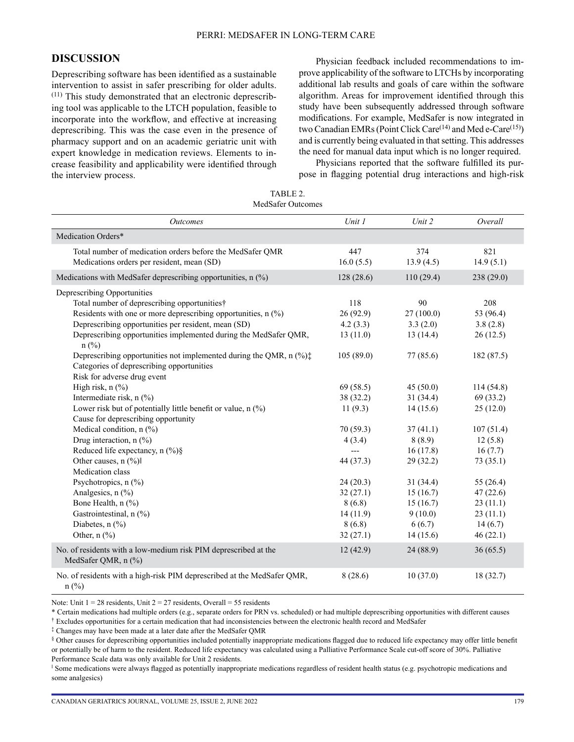## **DISCUSSION**

Deprescribing software has been identified as a sustainable intervention to assist in safer prescribing for older adults.  $(11)$  This study demonstrated that an electronic deprescribing tool was applicable to the LTCH population, feasible to incorporate into the workflow, and effective at increasing deprescribing. This was the case even in the presence of pharmacy support and on an academic geriatric unit with expert knowledge in medication reviews. Elements to increase feasibility and applicability were identified through the interview process.

Physician feedback included recommendations to improve applicability of the software to LTCHs by incorporating additional lab results and goals of care within the software algorithm. Areas for improvement identified through this study have been subsequently addressed through software modifications. For example, MedSafer is now integrated in two Canadian EMRs (Point Click Care<sup>(14)</sup> and Med e-Care<sup>(15)</sup>) and is currently being evaluated in that setting. This addresses the need for manual data input which is no longer required.

Physicians reported that the software fulfilled its purpose in flagging potential drug interactions and high-risk

| TABLE 2.          |  |
|-------------------|--|
| MedSafer Outcomes |  |

| <b>Outcomes</b>                                                                          | Unit 1     | Unit 2    | Overall    |
|------------------------------------------------------------------------------------------|------------|-----------|------------|
| Medication Orders*                                                                       |            |           |            |
| Total number of medication orders before the MedSafer QMR                                | 447        | 374       | 821        |
| Medications orders per resident, mean (SD)                                               | 16.0(5.5)  | 13.9(4.5) | 14.9(5.1)  |
| Medications with MedSafer deprescribing opportunities, n (%)                             | 128 (28.6) | 110(29.4) | 238(29.0)  |
| Deprescribing Opportunities                                                              |            |           |            |
| Total number of deprescribing opportunities†                                             | 118        | 90        | 208        |
| Residents with one or more deprescribing opportunities, $n$ $\left(\frac{\%}{\%}\right)$ | 26(92.9)   | 27(100.0) | 53 (96.4)  |
| Deprescribing opportunities per resident, mean (SD)                                      | 4.2(3.3)   | 3.3(2.0)  | 3.8(2.8)   |
| Deprescribing opportunities implemented during the MedSafer QMR,<br>$n$ (%)              | 13(11.0)   | 13(14.4)  | 26(12.5)   |
| Deprescribing opportunities not implemented during the QMR, n (%);                       | 105(89.0)  | 77 (85.6) | 182 (87.5) |
| Categories of deprescribing opportunities                                                |            |           |            |
| Risk for adverse drug event                                                              |            |           |            |
| High risk, $n$ $(\%)$                                                                    | 69 (58.5)  | 45(50.0)  | 114(54.8)  |
| Intermediate risk, n (%)                                                                 | 38 (32.2)  | 31(34.4)  | 69(33.2)   |
| Lower risk but of potentially little benefit or value, $n$ (%)                           | 11(9.3)    | 14(15.6)  | 25(12.0)   |
| Cause for deprescribing opportunity                                                      |            |           |            |
| Medical condition, n (%)                                                                 | 70(59.3)   | 37(41.1)  | 107(51.4)  |
| Drug interaction, $n$ (%)                                                                | 4(3.4)     | 8(8.9)    | 12(5.8)    |
| Reduced life expectancy, $n$ (%)§                                                        |            | 16(17.8)  | 16(7.7)    |
| Other causes, n (%)                                                                      | 44 (37.3)  | 29(32.2)  | 73(35.1)   |
| Medication class                                                                         |            |           |            |
| Psychotropics, n (%)                                                                     | 24(20.3)   | 31(34.4)  | 55 (26.4)  |
| Analgesics, $n$ $(\frac{9}{6})$                                                          | 32(27.1)   | 15(16.7)  | 47(22.6)   |
| Bone Health, n (%)                                                                       | 8(6.8)     | 15(16.7)  | 23(11.1)   |
| Gastrointestinal, n (%)                                                                  | 14(11.9)   | 9(10.0)   | 23(11.1)   |
| Diabetes, $n$ $\left(\frac{9}{0}\right)$                                                 | 8(6.8)     | 6(6.7)    | 14(6.7)    |
| Other, $n$ $\left(\frac{9}{0}\right)$                                                    | 32(27.1)   | 14(15.6)  | 46(22.1)   |
| No. of residents with a low-medium risk PIM deprescribed at the<br>MedSafer QMR, n (%)   | 12(42.9)   | 24 (88.9) | 36(65.5)   |
| No. of residents with a high-risk PIM deprescribed at the MedSafer QMR,<br>$n$ (%)       | 8(28.6)    | 10(37.0)  | 18(32.7)   |

Note: Unit  $1 = 28$  residents, Unit  $2 = 27$  residents, Overall = 55 residents

\* Certain medications had multiple orders (e.g., separate orders for PRN vs. scheduled) or had multiple deprescribing opportunities with different causes

† Excludes opportunities for a certain medication that had inconsistencies between the electronic health record and MedSafer

‡ Changes may have been made at a later date after the MedSafer QMR

§ Other causes for deprescribing opportunities included potentially inappropriate medications flagged due to reduced life expectancy may offer little benefit or potentially be of harm to the resident. Reduced life expectancy was calculated using a Palliative Performance Scale cut-off score of 30%. Palliative Performance Scale data was only available for Unit 2 residents.

‖ Some medications were always flagged as potentially inappropriate medications regardless of resident health status (e.g. psychotropic medications and some analgesics)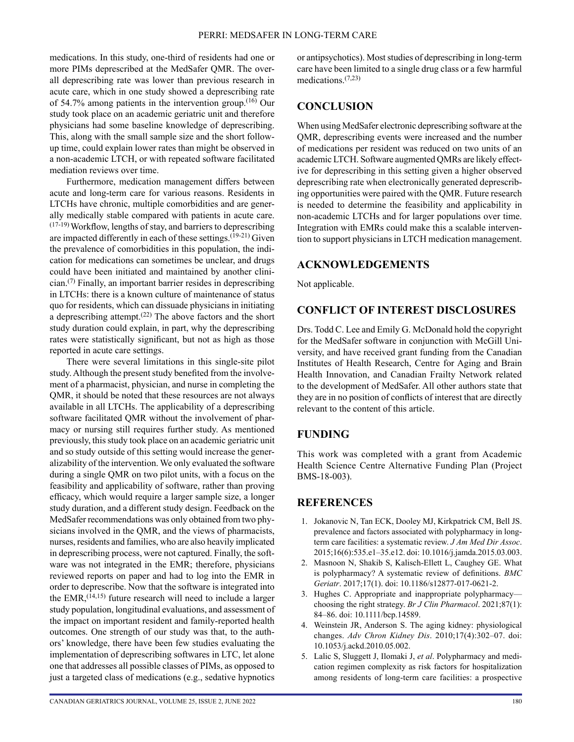medications. In this study, one-third of residents had one or more PIMs deprescribed at the MedSafer QMR. The overall deprescribing rate was lower than previous research in acute care, which in one study showed a deprescribing rate of 54.7% among patients in the intervention group.(16) Our study took place on an academic geriatric unit and therefore physicians had some baseline knowledge of deprescribing. This, along with the small sample size and the short followup time, could explain lower rates than might be observed in a non-academic LTCH, or with repeated software facilitated mediation reviews over time.

Furthermore, medication management differs between acute and long-term care for various reasons. Residents in LTCHs have chronic, multiple comorbidities and are generally medically stable compared with patients in acute care. (17-19) Workflow, lengths of stay, and barriers to deprescribing are impacted differently in each of these settings.<sup> $(19-21)$ </sup> Given the prevalence of comorbidities in this population, the indication for medications can sometimes be unclear, and drugs could have been initiated and maintained by another clinician.(7) Finally, an important barrier resides in deprescribing in LTCHs: there is a known culture of maintenance of status quo for residents, which can dissuade physicians in initiating a deprescribing attempt.<sup>(22)</sup> The above factors and the short study duration could explain, in part, why the deprescribing rates were statistically significant, but not as high as those reported in acute care settings.

There were several limitations in this single-site pilot study. Although the present study benefited from the involvement of a pharmacist, physician, and nurse in completing the QMR, it should be noted that these resources are not always available in all LTCHs. The applicability of a deprescribing software facilitated QMR without the involvement of pharmacy or nursing still requires further study. As mentioned previously, this study took place on an academic geriatric unit and so study outside of this setting would increase the generalizability of the intervention. We only evaluated the software during a single QMR on two pilot units, with a focus on the feasibility and applicability of software, rather than proving efficacy, which would require a larger sample size, a longer study duration, and a different study design. Feedback on the MedSafer recommendations was only obtained from two physicians involved in the QMR, and the views of pharmacists, nurses, residents and families, who are also heavily implicated in deprescribing process, were not captured. Finally, the software was not integrated in the EMR; therefore, physicians reviewed reports on paper and had to log into the EMR in order to deprescribe. Now that the software is integrated into the EMR,  $(14,15)$  future research will need to include a larger study population, longitudinal evaluations, and assessment of the impact on important resident and family-reported health outcomes. One strength of our study was that, to the authors' knowledge, there have been few studies evaluating the implementation of deprescribing softwares in LTC, let alone one that addresses all possible classes of PIMs, as opposed to just a targeted class of medications (e.g., sedative hypnotics or antipsychotics). Most studies of deprescribing in long-term care have been limited to a single drug class or a few harmful medications<sup>(7,23)</sup>

# **CONCLUSION**

When using MedSafer electronic deprescribing software at the QMR, deprescribing events were increased and the number of medications per resident was reduced on two units of an academic LTCH. Software augmented QMRs are likely effective for deprescribing in this setting given a higher observed deprescribing rate when electronically generated deprescribing opportunities were paired with the QMR. Future research is needed to determine the feasibility and applicability in non-academic LTCHs and for larger populations over time. Integration with EMRs could make this a scalable intervention to support physicians in LTCH medication management.

## **ACKNOWLEDGEMENTS**

Not applicable.

## **CONFLICT OF INTEREST DISCLOSURES**

Drs. Todd C. Lee and Emily G. McDonald hold the copyright for the MedSafer software in conjunction with McGill University, and have received grant funding from the Canadian Institutes of Health Research, Centre for Aging and Brain Health Innovation, and Canadian Frailty Network related to the development of MedSafer. All other authors state that they are in no position of conflicts of interest that are directly relevant to the content of this article.

# **FUNDING**

This work was completed with a grant from Academic Health Science Centre Alternative Funding Plan (Project BMS-18-003).

## **REFERENCES**

- 1. Jokanovic N, Tan ECK, Dooley MJ, Kirkpatrick CM, Bell JS. prevalence and factors associated with polypharmacy in longterm care facilities: a systematic review. *J Am Med Dir Assoc*. 2015;16(6):535.e1–35.e12. doi: 10.1016/j.jamda.2015.03.003.
- 2. Masnoon N, Shakib S, Kalisch-Ellett L, Caughey GE. What is polypharmacy? A systematic review of definitions. *BMC Geriatr*. 2017;17(1). doi: 10.1186/s12877-017-0621-2.
- 3. Hughes C. Appropriate and inappropriate polypharmacy choosing the right strategy. *Br J Clin Pharmacol*. 2021;87(1): 84–86. doi: 10.1111/bcp.14589.
- 4. Weinstein JR, Anderson S. The aging kidney: physiological changes. *Adv Chron Kidney Dis*. 2010;17(4):302–07. doi: 10.1053/j.ackd.2010.05.002.
- 5. Lalic S, Sluggett J, Ilomaki J, *et al*. Polypharmacy and medication regimen complexity as risk factors for hospitalization among residents of long-term care facilities: a prospective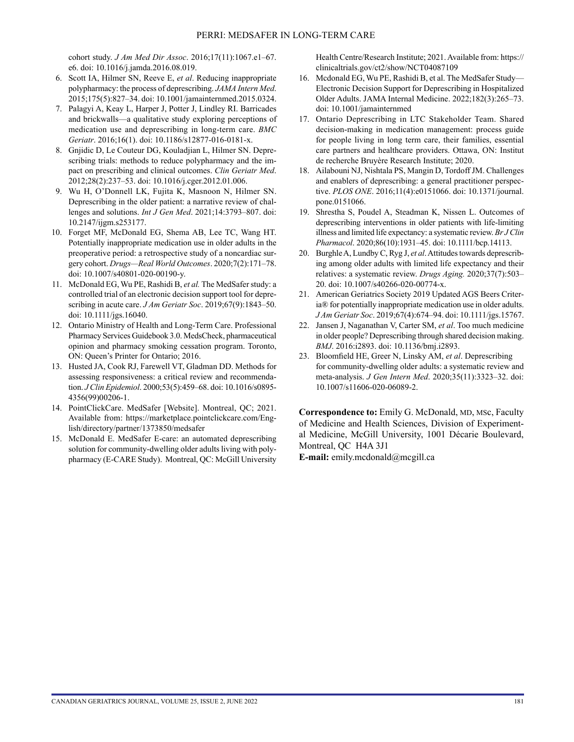cohort study. *J Am Med Dir Assoc*. 2016;17(11):1067.e1–67. e6. doi: 10.1016/j.jamda.2016.08.019.

- 6. Scott IA, Hilmer SN, Reeve E, *et al*. Reducing inappropriate polypharmacy: the process of deprescribing. *JAMA Intern Med*. 2015;175(5):827–34. doi: 10.1001/jamainternmed.2015.0324.
- 7. Palagyi A, Keay L, Harper J, Potter J, Lindley RI. Barricades and brickwalls—a qualitative study exploring perceptions of medication use and deprescribing in long-term care. *BMC Geriatr*. 2016;16(1). doi: 10.1186/s12877-016-0181-x.
- 8. Gnjidic D, Le Couteur DG, Kouladjian L, Hilmer SN. Deprescribing trials: methods to reduce polypharmacy and the impact on prescribing and clinical outcomes. *Clin Geriatr Med*. 2012;28(2):237–53. doi: 10.1016/j.cger.2012.01.006.
- 9. Wu H, O'Donnell LK, Fujita K, Masnoon N, Hilmer SN. Deprescribing in the older patient: a narrative review of challenges and solutions. *Int J Gen Med*. 2021;14:3793–807. doi: 10.2147/ijgm.s253177.
- 10. Forget MF, McDonald EG, Shema AB, Lee TC, Wang HT. Potentially inappropriate medication use in older adults in the preoperative period: a retrospective study of a noncardiac surgery cohort. *Drugs—Real World Outcomes*. 2020;7(2):171–78. doi: 10.1007/s40801-020-00190-y.
- 11. McDonald EG, Wu PE, Rashidi B, *et al.* The MedSafer study: a controlled trial of an electronic decision support tool for deprescribing in acute care. *J Am Geriatr Soc*. 2019;67(9):1843–50. doi: 10.1111/jgs.16040.
- 12. Ontario Ministry of Health and Long-Term Care. Professional Pharmacy Services Guidebook 3.0. MedsCheck, pharmaceutical opinion and pharmacy smoking cessation program. Toronto, ON: Queen's Printer for Ontario; 2016.
- 13. Husted JA, Cook RJ, Farewell VT, Gladman DD. Methods for assessing responsiveness: a critical review and recommendation. *J Clin Epidemiol*. 2000;53(5):459–68. doi: 10.1016/s0895- 4356(99)00206-1.
- 14. PointClickCare. MedSafer [Website]. Montreal, QC; 2021. Available from: [https://marketplace.pointclickcare.com/Eng](https://marketplace.pointclickcare.com/English/directory/partner/1373850/medsafer)[lish/directory/partner/1373850/medsafer](https://marketplace.pointclickcare.com/English/directory/partner/1373850/medsafer)
- 15. McDonald E. MedSafer E-care: an automated deprescribing solution for community-dwelling older adults living with polypharmacy (E-CARE Study). Montreal, QC: McGill University

Health Centre/Research Institute; 2021. Available from: [https://](https://clinicaltrials.gov/ct2/show/NCT04087109) [clinicaltrials.gov/ct2/show/NCT04087109](https://clinicaltrials.gov/ct2/show/NCT04087109)

- 16. Mcdonald EG, Wu PE, Rashidi B, et al. The MedSafer Study— Electronic Decision Support for Deprescribing in Hospitalized Older Adults. JAMA Internal Medicine. 2022;182(3):265–73. doi: 10.1001/jamainternmed
- 17. Ontario Deprescribing in LTC Stakeholder Team. Shared decision-making in medication management: process guide for people living in long term care, their families, essential care partners and healthcare providers. Ottawa, ON: Institut de recherche Bruyère Research Institute; 2020.
- 18. Ailabouni NJ, Nishtala PS, Mangin D, Tordoff JM. Challenges and enablers of deprescribing: a general practitioner perspective. *PLOS ONE*. 2016;11(4):e0151066. doi: 10.1371/journal. pone.0151066.
- 19. Shrestha S, Poudel A, Steadman K, Nissen L. Outcomes of deprescribing interventions in older patients with life-limiting illness and limited life expectancy: a systematic review. *Br J Clin Pharmacol*. 2020;86(10):1931–45. doi: 10.1111/bcp.14113.
- 20. Burghle A, Lundby C, Ryg J, *et al*. Attitudes towards deprescribing among older adults with limited life expectancy and their relatives: a systematic review. *Drugs Aging.* 2020;37(7):503– 20. doi: 10.1007/s40266-020-00774-x.
- 21. American Geriatrics Society 2019 Updated AGS Beers Criteria® for potentially inappropriate medication use in older adults. *J Am Geriatr Soc*. 2019;67(4):674–94. doi: 10.1111/jgs.15767.
- 22. Jansen J, Naganathan V, Carter SM, *et al*. Too much medicine in older people? Deprescribing through shared decision making. *BMJ*. 2016:i2893. doi: 10.1136/bmj.i2893.
- 23. Bloomfield HE, Greer N, Linsky AM, *et al*. Deprescribing for community-dwelling older adults: a systematic review and meta-analysis. *J Gen Intern Med*. 2020;35(11):3323–32. doi: 10.1007/s11606-020-06089-2.

**Correspondence to:** Emily G. McDonald, MD, MSc, Faculty of Medicine and Health Sciences, Division of Experimental Medicine, McGill University, 1001 Décarie Boulevard, Montreal, QC H4A 3J1

**E-mail:** [emily.mcdonald@mcgill.ca](mailto:emily.mcdonald@mcgill.ca)